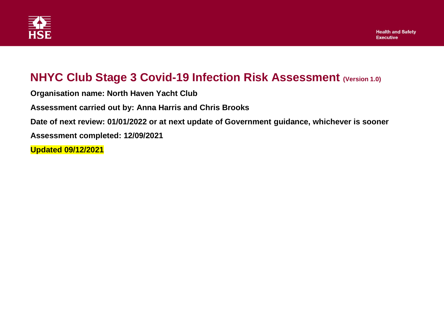

## **NHYC Club Stage 3 Covid-19 Infection Risk Assessment (Version 1.0)**

**Organisation name: North Haven Yacht Club**

**Assessment carried out by: Anna Harris and Chris Brooks**

**Date of next review: 01/01/2022 or at next update of Government guidance, whichever is sooner**

**Assessment completed: 12/09/2021**

**Updated 09/12/2021**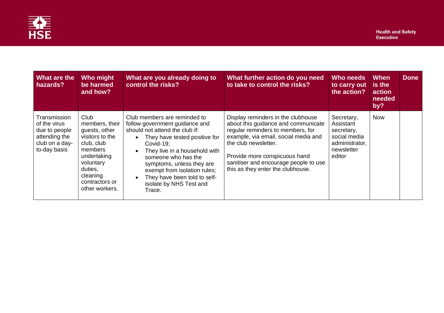

| <b>What are the</b><br>hazards?                                                                  | Who might<br>be harmed<br>and how?                                                                                                                                         | What are you already doing to<br>control the risks?                                                                                                                                                                                                                                                                                      | What further action do you need<br>to take to control the risks?                                                                                                                                                                                                                              | <b>Who needs</b><br>to carry out<br>the action?                                                 | <b>When</b><br>is the<br>action<br>needed<br>by? | <b>Done</b> |
|--------------------------------------------------------------------------------------------------|----------------------------------------------------------------------------------------------------------------------------------------------------------------------------|------------------------------------------------------------------------------------------------------------------------------------------------------------------------------------------------------------------------------------------------------------------------------------------------------------------------------------------|-----------------------------------------------------------------------------------------------------------------------------------------------------------------------------------------------------------------------------------------------------------------------------------------------|-------------------------------------------------------------------------------------------------|--------------------------------------------------|-------------|
| Transmission<br>of the virus<br>due to people<br>attending the<br>club on a day-<br>to-day basis | Club<br>members, their<br>guests, other<br>visitors to the<br>club, club<br>members<br>undertaking<br>voluntary<br>duties,<br>cleaning<br>contractors or<br>other workers. | Club members are reminded to<br>follow government guidance and<br>should not attend the club if:<br>They have tested positive for<br>Covid-19:<br>They live in a household with<br>someone who has the<br>symptoms, unless they are<br>exempt from isolation rules;<br>They have been told to self-<br>isolate by NHS Test and<br>Trace. | Display reminders in the clubhouse<br>about this guidance and communicate<br>regular reminders to members, for<br>example, via email, social media and<br>the club newsletter.<br>Provide more conspicuous hand<br>sanitiser and encourage people to use<br>this as they enter the clubhouse. | Secretary,<br>Assistant<br>secretary,<br>social media<br>administrator,<br>newsletter<br>editor | <b>Now</b>                                       |             |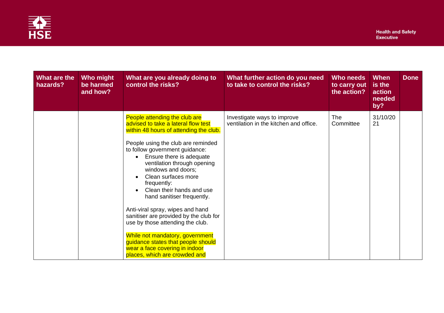

| What are the<br>hazards? | Who might<br>be harmed<br>and how? | What are you already doing to<br>control the risks?                                                                                                                                                                                                                                                                                                                                                                                                                                                                                                                                                                                    | What further action do you need<br>to take to control the risks?      | Who needs<br>to carry out<br>the action? | <b>When</b><br>is the<br>action<br>needed<br>by? | <b>Done</b> |
|--------------------------|------------------------------------|----------------------------------------------------------------------------------------------------------------------------------------------------------------------------------------------------------------------------------------------------------------------------------------------------------------------------------------------------------------------------------------------------------------------------------------------------------------------------------------------------------------------------------------------------------------------------------------------------------------------------------------|-----------------------------------------------------------------------|------------------------------------------|--------------------------------------------------|-------------|
|                          |                                    | People attending the club are<br>advised to take a lateral flow test<br>within 48 hours of attending the club.<br>People using the club are reminded<br>to follow government guidance:<br>Ensure there is adequate<br>ventilation through opening<br>windows and doors;<br>Clean surfaces more<br>frequently:<br>Clean their hands and use<br>hand sanitiser frequently.<br>Anti-viral spray, wipes and hand<br>sanitiser are provided by the club for<br>use by those attending the club.<br>While not mandatory, government<br>guidance states that people should<br>wear a face covering in indoor<br>places, which are crowded and | Investigate ways to improve<br>ventilation in the kitchen and office. | <b>The</b><br>Committee                  | 31/10/20<br>21                                   |             |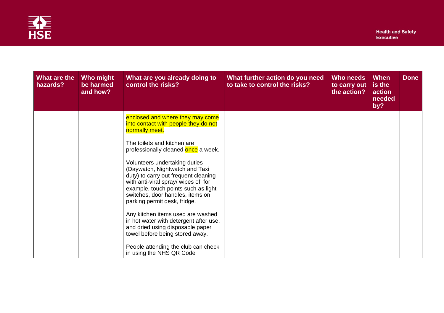

| What are the<br>hazards? | Who might<br>be harmed<br>and how? | What are you already doing to<br>control the risks?                                                                                                                                                                                                                                                                                                                                                                                                                                                                                                                                  | What further action do you need<br>to take to control the risks? | Who needs<br>to carry out<br>the action? | <b>When</b><br>is the<br>action<br>needed<br>by? | <b>Done</b> |
|--------------------------|------------------------------------|--------------------------------------------------------------------------------------------------------------------------------------------------------------------------------------------------------------------------------------------------------------------------------------------------------------------------------------------------------------------------------------------------------------------------------------------------------------------------------------------------------------------------------------------------------------------------------------|------------------------------------------------------------------|------------------------------------------|--------------------------------------------------|-------------|
|                          |                                    | enclosed and where they may come<br>into contact with people they do not<br>normally meet.<br>The toilets and kitchen are<br>professionally cleaned once a week.<br>Volunteers undertaking duties<br>(Daywatch, Nightwatch and Taxi<br>duty) to carry out frequent cleaning<br>with anti-viral spray/ wipes of, for<br>example, touch points such as light<br>switches, door handles, items on<br>parking permit desk, fridge.<br>Any kitchen items used are washed<br>in hot water with detergent after use,<br>and dried using disposable paper<br>towel before being stored away. |                                                                  |                                          |                                                  |             |
|                          |                                    | People attending the club can check<br>in using the NHS QR Code                                                                                                                                                                                                                                                                                                                                                                                                                                                                                                                      |                                                                  |                                          |                                                  |             |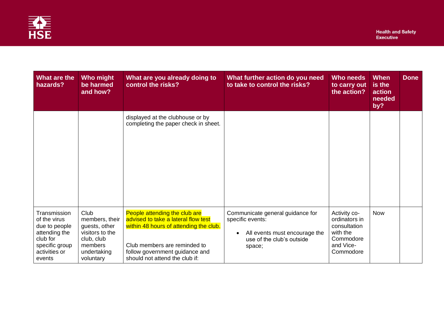

| What are the<br>hazards?                                                                                                | Who might<br>be harmed<br>and how?                                                                              | What are you already doing to<br>control the risks?                                                                                                                                                                | What further action do you need<br>to take to control the risks?                                                             | Who needs<br>to carry out<br>the action?                                                         | <b>When</b><br>is the<br>action<br>needed<br>by? | <b>Done</b> |
|-------------------------------------------------------------------------------------------------------------------------|-----------------------------------------------------------------------------------------------------------------|--------------------------------------------------------------------------------------------------------------------------------------------------------------------------------------------------------------------|------------------------------------------------------------------------------------------------------------------------------|--------------------------------------------------------------------------------------------------|--------------------------------------------------|-------------|
|                                                                                                                         |                                                                                                                 | displayed at the clubhouse or by<br>completing the paper check in sheet.                                                                                                                                           |                                                                                                                              |                                                                                                  |                                                  |             |
| Transmission<br>of the virus<br>due to people<br>attending the<br>club for<br>specific group<br>activities or<br>events | Club<br>members, their<br>guests, other<br>visitors to the<br>club, club<br>members<br>undertaking<br>voluntary | People attending the club are<br>advised to take a lateral flow test<br>within 48 hours of attending the club.<br>Club members are reminded to<br>follow government guidance and<br>should not attend the club if: | Communicate general guidance for<br>specific events:<br>All events must encourage the<br>use of the club's outside<br>space; | Activity co-<br>ordinators in<br>consultation<br>with the<br>Commodore<br>and Vice-<br>Commodore | <b>Now</b>                                       |             |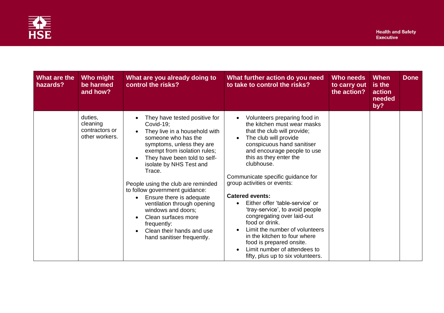

| What are the<br>hazards? | Who might<br>be harmed<br>and how?                      | What are you already doing to<br>control the risks?                                                                                                                                                                                                                                                                                                                                                                                                                                            | What further action do you need<br>to take to control the risks?                                                                                                                                                                                                                                                                                                                                                                                                                                                                                                                                                             | Who needs<br>to carry out<br>the action? | <b>When</b><br>is the<br>action<br>needed<br>by? | <b>Done</b> |
|--------------------------|---------------------------------------------------------|------------------------------------------------------------------------------------------------------------------------------------------------------------------------------------------------------------------------------------------------------------------------------------------------------------------------------------------------------------------------------------------------------------------------------------------------------------------------------------------------|------------------------------------------------------------------------------------------------------------------------------------------------------------------------------------------------------------------------------------------------------------------------------------------------------------------------------------------------------------------------------------------------------------------------------------------------------------------------------------------------------------------------------------------------------------------------------------------------------------------------------|------------------------------------------|--------------------------------------------------|-------------|
|                          | duties,<br>cleaning<br>contractors or<br>other workers. | They have tested positive for<br>Covid-19;<br>They live in a household with<br>someone who has the<br>symptoms, unless they are<br>exempt from isolation rules;<br>They have been told to self-<br>isolate by NHS Test and<br>Trace.<br>People using the club are reminded<br>to follow government guidance:<br>Ensure there is adequate<br>ventilation through opening<br>windows and doors;<br>Clean surfaces more<br>frequently:<br>Clean their hands and use<br>hand sanitiser frequently. | Volunteers preparing food in<br>the kitchen must wear masks<br>that the club will provide;<br>The club will provide<br>conspicuous hand sanitiser<br>and encourage people to use<br>this as they enter the<br>clubhouse.<br>Communicate specific guidance for<br>group activities or events:<br><b>Catered events:</b><br>Either offer 'table-service' or<br>$\bullet$<br>'tray-service', to avoid people<br>congregating over laid-out<br>food or drink.<br>Limit the number of volunteers<br>in the kitchen to four where<br>food is prepared onsite.<br>Limit number of attendees to<br>fifty, plus up to six volunteers. |                                          |                                                  |             |